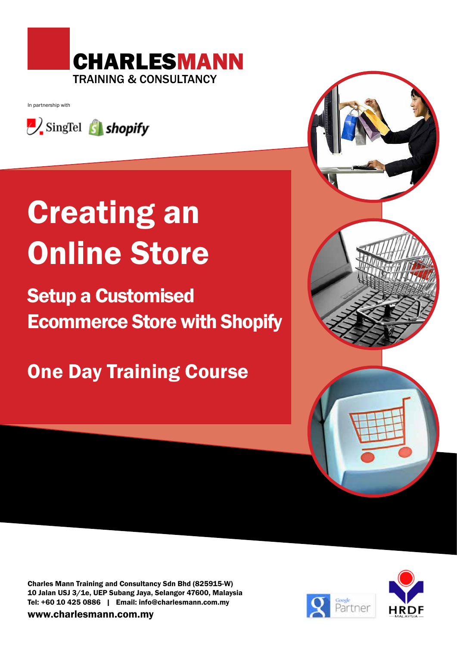

In partnership with



# Creating an Online Store

## Setup a Customised Ecommerce Store with Shopify

One Day Training Course



Charles Mann Training and Consultancy Sdn Bhd (825915-W) 10 Jalan USJ 3/1e, UEP Subang Jaya, Selangor 47600, Malaysia Tel: +60 10 425 0886 | Email: info@charlesmann.com.my

www.charlesmann.com.my

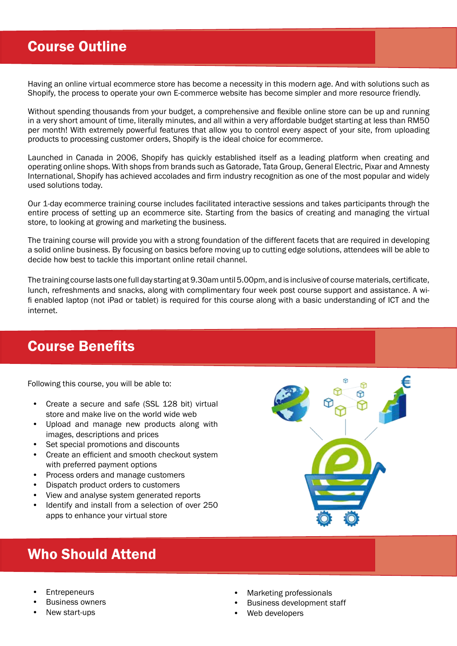## Course Outline

Having an online virtual ecommerce store has become a necessity in this modern age. And with solutions such as Shopify, the process to operate your own E-commerce website has become simpler and more resource friendly.

Without spending thousands from your budget, a comprehensive and flexible online store can be up and running in a very short amount of time, literally minutes, and all within a very affordable budget starting at less than RM50 per month! With extremely powerful features that allow you to control every aspect of your site, from uploading products to processing customer orders, Shopify is the ideal choice for ecommerce.

Launched in Canada in 2006, Shopify has quickly established itself as a leading platform when creating and operating online shops. With shops from brands such as Gatorade, Tata Group, General Electric, Pixar and Amnesty International, Shopify has achieved accolades and firm industry recognition as one of the most popular and widely used solutions today.

Our 1-day ecommerce training course includes facilitated interactive sessions and takes participants through the entire process of setting up an ecommerce site. Starting from the basics of creating and managing the virtual store, to looking at growing and marketing the business.

The training course will provide you with a strong foundation of the different facets that are required in developing a solid online business. By focusing on basics before moving up to cutting edge solutions, attendees will be able to decide how best to tackle this important online retail channel.

The training course lasts one full day starting at 9.30am until 5.00pm, and is inclusive of course materials, certificate, lunch, refreshments and snacks, along with complimentary four week post course support and assistance. A wifi enabled laptop (not iPad or tablet) is required for this course along with a basic understanding of ICT and the internet.

## Course Benefits

Following this course, you will be able to:

- Create a secure and safe (SSL 128 bit) virtual store and make live on the world wide web
- Upload and manage new products along with images, descriptions and prices
- Set special promotions and discounts
- Create an efficient and smooth checkout system with preferred payment options
- Process orders and manage customers
- Dispatch product orders to customers
- View and analyse system generated reports
- Identify and install from a selection of over 250 apps to enhance your virtual store

## Who Should Attend

- **Entrepeneurs**
- **Business owners**
- New start-ups
- ₩
- Marketing professionals
- Business development staff
- Web developers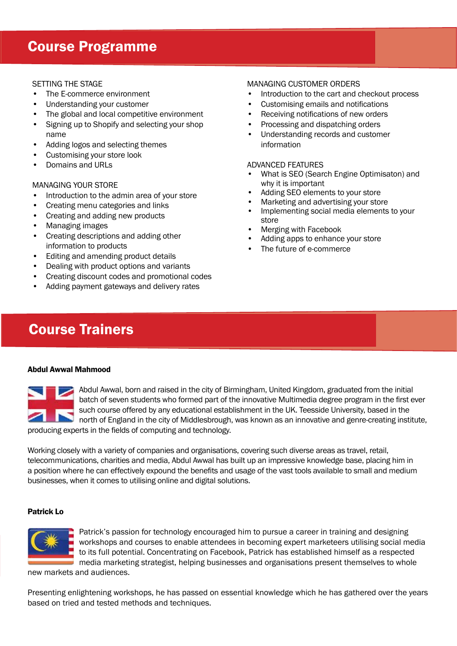## Course Programme

#### SETTING THE STAGE

- The E-commerce environment
- Understanding your customer
- The global and local competitive environment
- Signing up to Shopify and selecting your shop name
- Adding logos and selecting themes
- Customising your store look
- Domains and URLs

#### MANAGING YOUR STORE

- Introduction to the admin area of your store
- Creating menu categories and links
- Creating and adding new products
- Managing images
- Creating descriptions and adding other information to products
- Editing and amending product details
- Dealing with product options and variants
- Creating discount codes and promotional codes
- Adding payment gateways and delivery rates

#### MANAGING CUSTOMER ORDERS

- Introduction to the cart and checkout process
- Customising emails and notifications
- Receiving notifications of new orders
- Processing and dispatching orders
- Understanding records and customer information

#### ADVANCED FEATURES

- What is SEO (Search Engine Optimisaton) and why it is important
- Adding SEO elements to your store
- Marketing and advertising your store
- Implementing social media elements to your store
- Merging with Facebook
- Adding apps to enhance your store
- The future of e-commerce

## Course Trainers

#### Abdul Awwal Mahmood



Abdul Awwal, born and raised in the city of Birmingham, United Kingdom, graduated from the initial batch of seven students who formed part of the innovative Multimedia degree program in the first ever such course offered by any educational establishment in the UK. Teesside University, based in the north of England in the city of Middlesbrough, was known as an innovative and genre-creating institute, producing experts in the fields of computing and technology.

Working closely with a variety of companies and organisations, covering such diverse areas as travel, retail, telecommunications, charities and media, Abdul Awwal has built up an impressive knowledge base, placing him in a position where he can effectively expound the benefits and usage of the vast tools available to small and medium businesses, when it comes to utilising online and digital solutions.

#### Patrick Lo



Patrick's passion for technology encouraged him to pursue a career in training and designing workshops and courses to enable attendees in becoming expert marketeers utilising social media to its full potential. Concentrating on Facebook, Patrick has established himself as a respected media marketing strategist, helping businesses and organisations present themselves to whole

new markets and audiences.

Presenting enlightening workshops, he has passed on essential knowledge which he has gathered over the years based on tried and tested methods and techniques.